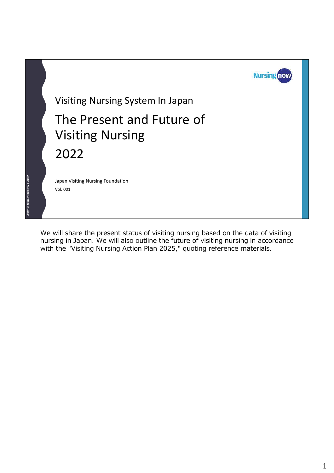

We will share the present status of visiting nursing based on the data of visiting nursing in Japan. We will also outline the future of visiting nursing in accordance with the "Visiting Nursing Action Plan 2025," quoting reference materials.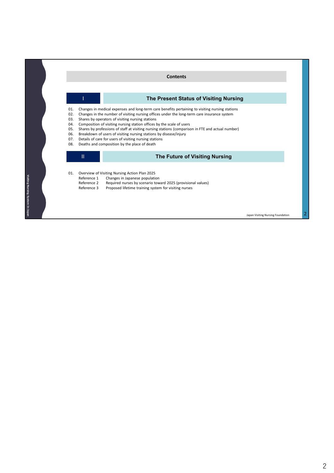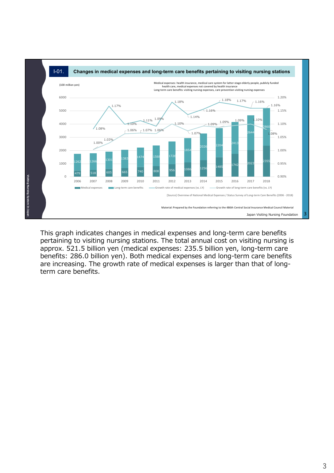

This graph indicates changes in medical expenses and long-term care benefits pertaining to visiting nursing stations. The total annual cost on visiting nursing is approx. 521.5 billion yen (medical expenses: 235.5 billion yen, long-term care benefits: 286.0 billion yen). Both medical expenses and long-term care benefits are increasing. The growth rate of medical expenses is larger than that of longterm care benefits.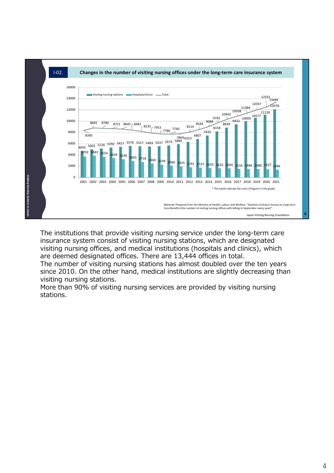

The institutions that provide visiting nursing service under the long-term care insurance system consist of visiting nursing stations, which are designated visiting nursing offices, and medical institutions (hospitals and clinics), which are deemed designated offices. There are 13,444 offices in total.

The number of visiting nursing stations has almost doubled over the ten years since 2010. On the other hand, medical institutions are slightly decreasing than visiting nursing stations.

More than 90% of visiting nursing services are provided by visiting nursing stations.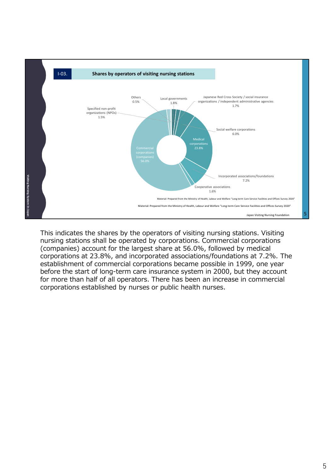

This indicates the shares by the operators of visiting nursing stations. Visiting nursing stations shall be operated by corporations. Commercial corporations (companies) account for the largest share at 56.0%, followed by medical corporations at 23.8%, and incorporated associations/foundations at 7.2%. The establishment of commercial corporations became possible in 1999, one year before the start of long-term care insurance system in 2000, but they account for more than half of all operators. There has been an increase in commercial corporations established by nurses or public health nurses.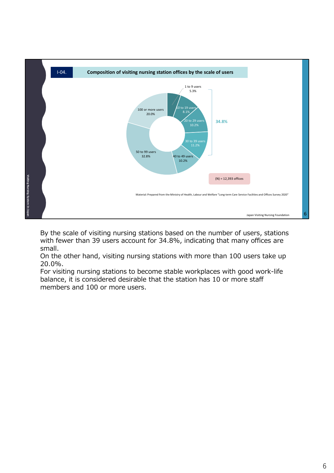

By the scale of visiting nursing stations based on the number of users, stations with fewer than 39 users account for 34.8%, indicating that many offices are small.

On the other hand, visiting nursing stations with more than 100 users take up 20.0%.

For visiting nursing stations to become stable workplaces with good work-life balance, it is considered desirable that the station has 10 or more staff members and 100 or more users.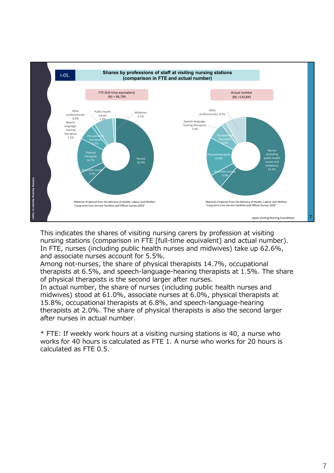

This indicates the shares of visiting nursing carers by profession at visiting nursing stations (comparison in FTE [full-time equivalent] and actual number). In FTE, nurses (including public health nurses and midwives) take up 62.6%, and associate nurses account for 5.5%.

Among not-nurses, the share of physical therapists 14.7%, occupational therapists at 6.5%, and speech-language-hearing therapists at 1.5%. The share of physical therapists is the second larger after nurses.

In actual number, the share of nurses (including public health nurses and midwives) stood at 61.0%, associate nurses at 6.0%, physical therapists at 15.8%, occupational therapists at 6.8%, and speech-language-hearing therapists at 2.0%. The share of physical therapists is also the second larger after nurses in actual number.

\* FTE: If weekly work hours at a visiting nursing stations is 40, a nurse who works for 40 hours is calculated as FTE 1. A nurse who works for 20 hours is calculated as FTE 0.5.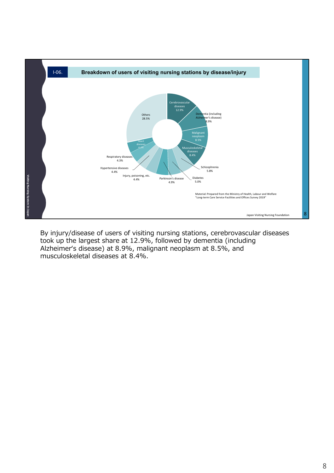

By injury/disease of users of visiting nursing stations, cerebrovascular diseases took up the largest share at 12.9%, followed by dementia (including Alzheimer's disease) at 8.9%, malignant neoplasm at 8.5%, and musculoskeletal diseases at 8.4%.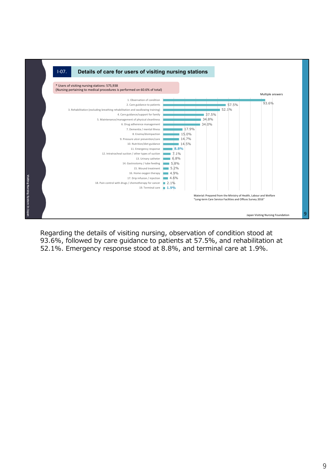

Regarding the details of visiting nursing, observation of condition stood at 93.6%, followed by care guidance to patients at 57.5%, and rehabilitation at 52.1%. Emergency response stood at 8.8%, and terminal care at 1.9%.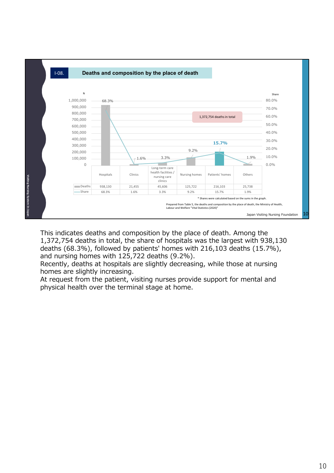

This indicates deaths and composition by the place of death. Among the 1,372,754 deaths in total, the share of hospitals was the largest with 938,130 deaths (68.3%), followed by patients' homes with 216,103 deaths (15.7%), and nursing homes with 125,722 deaths (9.2%).

Recently, deaths at hospitals are slightly decreasing, while those at nursing homes are slightly increasing.

At request from the patient, visiting nurses provide support for mental and physical health over the terminal stage at home.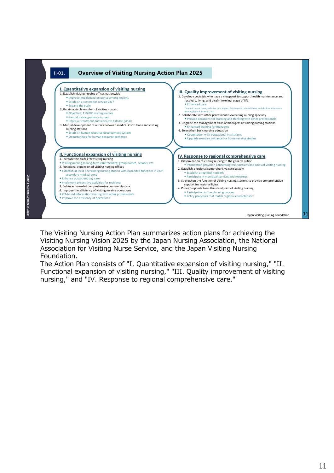

The Visiting Nursing Action Plan summarizes action plans for achieving the Visiting Nursing Vision 2025 by the Japan Nursing Association, the National Association for Visiting Nurse Service, and the Japan Visiting Nursing Foundation.

The Action Plan consists of "I. Quantitative expansion of visiting nursing," "II. Functional expansion of visiting nursing," "III. Quality improvement of visiting nursing," and "IV. Response to regional comprehensive care."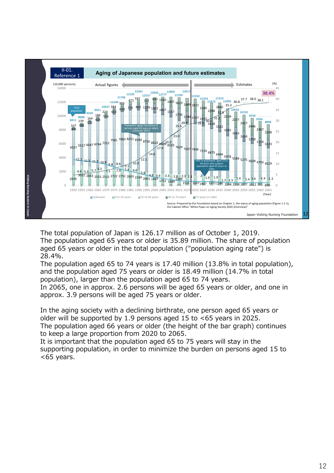

The total population of Japan is 126.17 million as of October 1, 2019. The population aged 65 years or older is 35.89 million. The share of population aged 65 years or older in the total population ("population aging rate") is 28.4%.

The population aged 65 to 74 years is 17.40 million (13.8% in total population), and the population aged 75 years or older is 18.49 million (14.7% in total population), larger than the population aged 65 to 74 years. In 2065, one in approx. 2.6 persons will be aged 65 years or older, and one in

approx. 3.9 persons will be aged 75 years or older.

In the aging society with a declining birthrate, one person aged 65 years or older will be supported by 1.9 persons aged 15 to <65 years in 2025. The population aged 66 years or older (the height of the bar graph) continues to keep a large proportion from 2020 to 2065.

It is important that the population aged 65 to 75 years will stay in the supporting population, in order to minimize the burden on persons aged 15 to <65 years.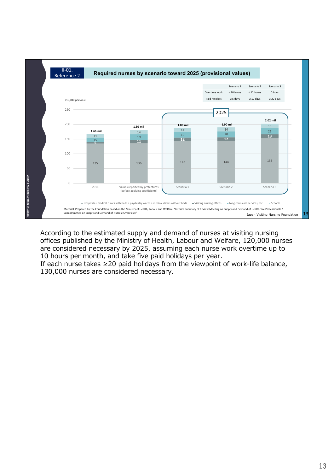

According to the estimated supply and demand of nurses at visiting nursing offices published by the Ministry of Health, Labour and Welfare, 120,000 nurses are considered necessary by 2025, assuming each nurse work overtime up to 10 hours per month, and take five paid holidays per year.

If each nurse takes ≥20 paid holidays from the viewpoint of work-life balance, 130,000 nurses are considered necessary.